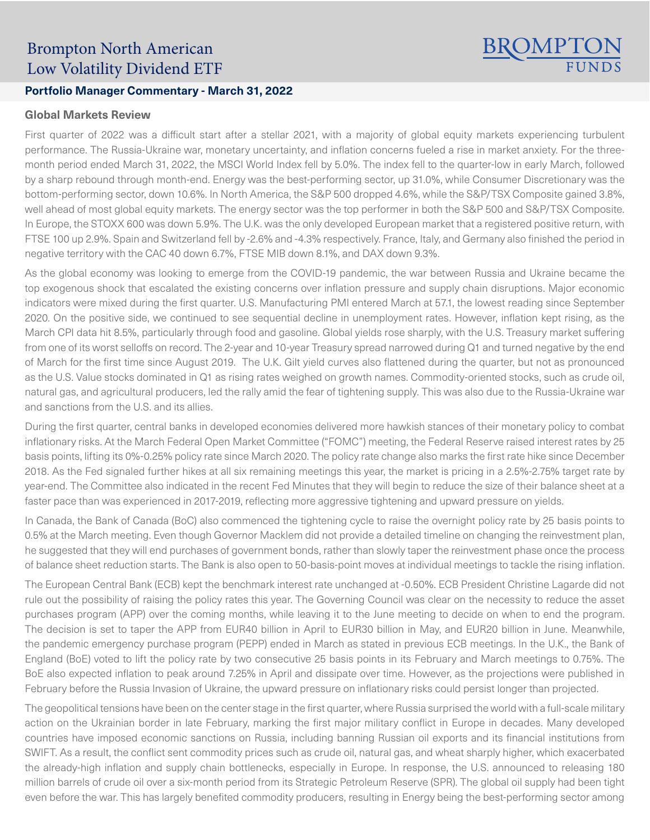# Brompton North American Low Volatility Dividend ETF

## **Portfolio Manager Commentary - March 31, 2022**

### **Global Markets Review**

First quarter of 2022 was a difficult start after a stellar 2021, with a majority of global equity markets experiencing turbulent performance. The Russia-Ukraine war, monetary uncertainty, and inflation concerns fueled a rise in market anxiety. For the threemonth period ended March 31, 2022, the MSCI World Index fell by 5.0%. The index fell to the quarter-low in early March, followed by a sharp rebound through month-end. Energy was the best-performing sector, up 31.0%, while Consumer Discretionary was the bottom-performing sector, down 10.6%. In North America, the S&P 500 dropped 4.6%, while the S&P/TSX Composite gained 3.8%, well ahead of most global equity markets. The energy sector was the top performer in both the S&P 500 and S&P/TSX Composite. In Europe, the STOXX 600 was down 5.9%. The U.K. was the only developed European market that a registered positive return, with FTSE 100 up 2.9%. Spain and Switzerland fell by -2.6% and -4.3% respectively. France, Italy, and Germany also finished the period in negative territory with the CAC 40 down 6.7%, FTSE MIB down 8.1%, and DAX down 9.3%.

BROMPTON

As the global economy was looking to emerge from the COVID-19 pandemic, the war between Russia and Ukraine became the top exogenous shock that escalated the existing concerns over inflation pressure and supply chain disruptions. Major economic indicators were mixed during the first quarter. U.S. Manufacturing PMI entered March at 57.1, the lowest reading since September 2020. On the positive side, we continued to see sequential decline in unemployment rates. However, inflation kept rising, as the March CPI data hit 8.5%, particularly through food and gasoline. Global yields rose sharply, with the U.S. Treasury market suffering from one of its worst selloffs on record. The 2-year and 10-year Treasury spread narrowed during Q1 and turned negative by the end of March for the first time since August 2019. The U.K. Gilt yield curves also flattened during the quarter, but not as pronounced as the U.S. Value stocks dominated in Q1 as rising rates weighed on growth names. Commodity-oriented stocks, such as crude oil, natural gas, and agricultural producers, led the rally amid the fear of tightening supply. This was also due to the Russia-Ukraine war and sanctions from the U.S. and its allies.

During the first quarter, central banks in developed economies delivered more hawkish stances of their monetary policy to combat inflationary risks. At the March Federal Open Market Committee ("FOMC") meeting, the Federal Reserve raised interest rates by 25 basis points, lifting its 0%-0.25% policy rate since March 2020. The policy rate change also marks the first rate hike since December 2018. As the Fed signaled further hikes at all six remaining meetings this year, the market is pricing in a 2.5%-2.75% target rate by year-end. The Committee also indicated in the recent Fed Minutes that they will begin to reduce the size of their balance sheet at a faster pace than was experienced in 2017-2019, reflecting more aggressive tightening and upward pressure on yields.

In Canada, the Bank of Canada (BoC) also commenced the tightening cycle to raise the overnight policy rate by 25 basis points to 0.5% at the March meeting. Even though Governor Macklem did not provide a detailed timeline on changing the reinvestment plan, he suggested that they will end purchases of government bonds, rather than slowly taper the reinvestment phase once the process of balance sheet reduction starts. The Bank is also open to 50-basis-point moves at individual meetings to tackle the rising inflation.

The European Central Bank (ECB) kept the benchmark interest rate unchanged at -0.50%. ECB President Christine Lagarde did not rule out the possibility of raising the policy rates this year. The Governing Council was clear on the necessity to reduce the asset purchases program (APP) over the coming months, while leaving it to the June meeting to decide on when to end the program. The decision is set to taper the APP from EUR40 billion in April to EUR30 billion in May, and EUR20 billion in June. Meanwhile, the pandemic emergency purchase program (PEPP) ended in March as stated in previous ECB meetings. In the U.K., the Bank of England (BoE) voted to lift the policy rate by two consecutive 25 basis points in its February and March meetings to 0.75%. The BoE also expected inflation to peak around 7.25% in April and dissipate over time. However, as the projections were published in February before the Russia Invasion of Ukraine, the upward pressure on inflationary risks could persist longer than projected.

The geopolitical tensions have been on the center stage in the first quarter, where Russia surprised the world with a full-scale military action on the Ukrainian border in late February, marking the first major military conflict in Europe in decades. Many developed countries have imposed economic sanctions on Russia, including banning Russian oil exports and its financial institutions from SWIFT. As a result, the conflict sent commodity prices such as crude oil, natural gas, and wheat sharply higher, which exacerbated the already-high inflation and supply chain bottlenecks, especially in Europe. In response, the U.S. announced to releasing 180 million barrels of crude oil over a six-month period from its Strategic Petroleum Reserve (SPR). The global oil supply had been tight even before the war. This has largely benefited commodity producers, resulting in Energy being the best-performing sector among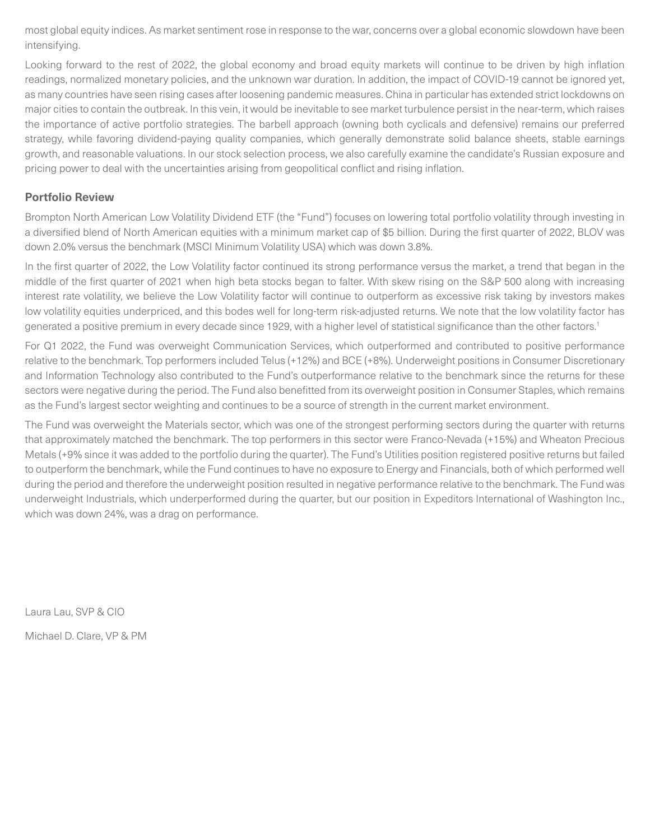most global equity indices. As market sentiment rose in response to the war, concerns over a global economic slowdown have been intensifying.

Looking forward to the rest of 2022, the global economy and broad equity markets will continue to be driven by high inflation readings, normalized monetary policies, and the unknown war duration. In addition, the impact of COVID-19 cannot be ignored yet, as many countries have seen rising cases after loosening pandemic measures. China in particular has extended strict lockdowns on major cities to contain the outbreak. In this vein, it would be inevitable to see market turbulence persist in the near-term, which raises the importance of active portfolio strategies. The barbell approach (owning both cyclicals and defensive) remains our preferred strategy, while favoring dividend-paying quality companies, which generally demonstrate solid balance sheets, stable earnings growth, and reasonable valuations. In our stock selection process, we also carefully examine the candidate's Russian exposure and pricing power to deal with the uncertainties arising from geopolitical conflict and rising inflation.

### **Portfolio Review**

Brompton North American Low Volatility Dividend ETF (the "Fund") focuses on lowering total portfolio volatility through investing in a diversified blend of North American equities with a minimum market cap of \$5 billion. During the first quarter of 2022, BLOV was down 2.0% versus the benchmark (MSCI Minimum Volatility USA) which was down 3.8%.

In the first quarter of 2022, the Low Volatility factor continued its strong performance versus the market, a trend that began in the middle of the first quarter of 2021 when high beta stocks began to falter. With skew rising on the S&P 500 along with increasing interest rate volatility, we believe the Low Volatility factor will continue to outperform as excessive risk taking by investors makes low volatility equities underpriced, and this bodes well for long-term risk-adjusted returns. We note that the low volatility factor has generated a positive premium in every decade since 1929, with a higher level of statistical significance than the other factors.<sup>1</sup>

For Q1 2022, the Fund was overweight Communication Services, which outperformed and contributed to positive performance relative to the benchmark. Top performers included Telus (+12%) and BCE (+8%). Underweight positions in Consumer Discretionary and Information Technology also contributed to the Fund's outperformance relative to the benchmark since the returns for these sectors were negative during the period. The Fund also benefitted from its overweight position in Consumer Staples, which remains as the Fund's largest sector weighting and continues to be a source of strength in the current market environment.

The Fund was overweight the Materials sector, which was one of the strongest performing sectors during the quarter with returns that approximately matched the benchmark. The top performers in this sector were Franco-Nevada (+15%) and Wheaton Precious Metals (+9% since it was added to the portfolio during the quarter). The Fund's Utilities position registered positive returns but failed to outperform the benchmark, while the Fund continues to have no exposure to Energy and Financials, both of which performed well during the period and therefore the underweight position resulted in negative performance relative to the benchmark. The Fund was underweight Industrials, which underperformed during the quarter, but our position in Expeditors International of Washington Inc., which was down 24%, was a drag on performance.

Laura Lau, SVP & CIO

Michael D. Clare, VP & PM